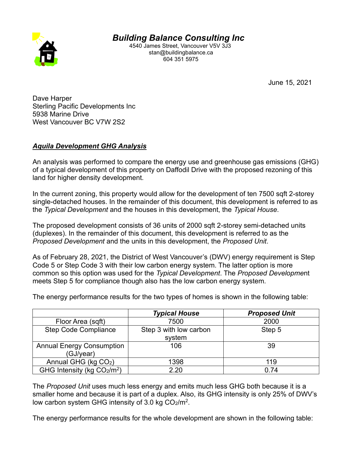

*Building Balance Consulting Inc* 

 4540 James Street, Vancouver V5V 3J3 stan@buildingbalance.ca 604 351 5975

June 15, 2021

Dave Harper Sterling Pacific Developments Inc 5938 Marine Drive West Vancouver BC V7W 2S2

## **Aquila Development GHG Analysis**

An analysis was performed to compare the energy use and greenhouse gas emissions (GHG) of a typical development of this property on Daffodil Drive with the proposed rezoning of this land for higher density development.

In the current zoning, this property would allow for the development of ten 7500 sqft 2-storey single-detached houses. In the remainder of this document, this development is referred to as the *Typical Development* and the houses in this development, the *Typical House*.

The proposed development consists of 36 units of 2000 sqft 2-storey semi-detached units (duplexes). In the remainder of this document, this development is referred to as the *Proposed Development* and the units in this development, the *Proposed Unit.* 

As of February 28, 2021, the District of West Vancouver's (DWV) energy requirement is Step Code 5 or Step Code 3 with their low carbon energy system. The latter option is more common so this option was used for the *Typical Development*. The *Proposed Development* meets Step 5 for compliance though also has the low carbon energy system.

The energy performance results for the two types of homes is shown in the following table:

|                                  | <b>Typical House</b>   | <b>Proposed Unit</b> |
|----------------------------------|------------------------|----------------------|
| Floor Area (sqft)                | 7500                   | 2000                 |
| <b>Step Code Compliance</b>      | Step 3 with low carbon | Step 5               |
|                                  | system                 |                      |
| <b>Annual Energy Consumption</b> | 106                    | 39                   |
| (GJ/year)                        |                        |                      |
| Annual GHG (kg CO2)              | 1398                   | 119                  |
| GHG Intensity (kg $CO2/m2$ )     | 2.20                   | 0.74                 |

The *Proposed Unit* uses much less energy and emits much less GHG both because it is a smaller home and because it is part of a duplex. Also, its GHG intensity is only 25% of DWV's low carbon system GHG intensity of 3.0 kg  $CO<sub>2</sub>/m<sup>2</sup>$ .

The energy performance results for the whole development are shown in the following table: